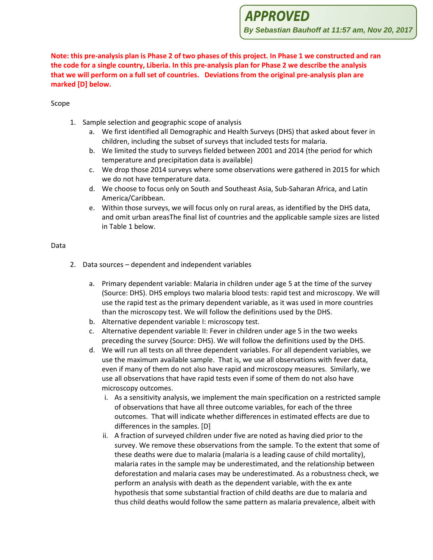**APPROVED** 

**By Sebastian Bauhoff at 11:57 am, Nov 20, 2017**

**Note: this pre-analysis plan is Phase 2 of two phases of this project. In Phase 1 we constructed and ran the code for a single country, Liberia. In this pre-analysis plan for Phase 2 we describe the analysis that we will perform on a full set of countries. Deviations from the original pre-analysis plan are marked [D] below.**

### Scope

- 1. Sample selection and geographic scope of analysis
	- a. We first identified all Demographic and Health Surveys (DHS) that asked about fever in children, including the subset of surveys that included tests for malaria.
	- b. We limited the study to surveys fielded between 2001 and 2014 (the period for which temperature and precipitation data is available)
	- c. We drop those 2014 surveys where some observations were gathered in 2015 for which we do not have temperature data.
	- d. We choose to focus only on South and Southeast Asia, Sub-Saharan Africa, and Latin America/Caribbean.
	- e. Within those surveys, we will focus only on rural areas, as identified by the DHS data, and omit urban areasThe final list of countries and the applicable sample sizes are listed in Table 1 below.

### Data

- 2. Data sources dependent and independent variables
	- a. Primary dependent variable: Malaria in children under age 5 at the time of the survey (Source: DHS). DHS employs two malaria blood tests: rapid test and microscopy. We will use the rapid test as the primary dependent variable, as it was used in more countries than the microscopy test. We will follow the definitions used by the DHS.
	- b. Alternative dependent variable I: microscopy test.
	- c. Alternative dependent variable II: Fever in children under age 5 in the two weeks preceding the survey (Source: DHS). We will follow the definitions used by the DHS.
	- d. We will run all tests on all three dependent variables. For all dependent variables, we use the maximum available sample. That is, we use all observations with fever data, even if many of them do not also have rapid and microscopy measures. Similarly, we use all observations that have rapid tests even if some of them do not also have microscopy outcomes.
		- i. As a sensitivity analysis, we implement the main specification on a restricted sample of observations that have all three outcome variables, for each of the three outcomes. That will indicate whether differences in estimated effects are due to differences in the samples. [D]
		- ii. A fraction of surveyed children under five are noted as having died prior to the survey. We remove these observations from the sample. To the extent that some of these deaths were due to malaria (malaria is a leading cause of child mortality), malaria rates in the sample may be underestimated, and the relationship between deforestation and malaria cases may be underestimated. As a robustness check, we perform an analysis with death as the dependent variable, with the ex ante hypothesis that some substantial fraction of child deaths are due to malaria and thus child deaths would follow the same pattern as malaria prevalence, albeit with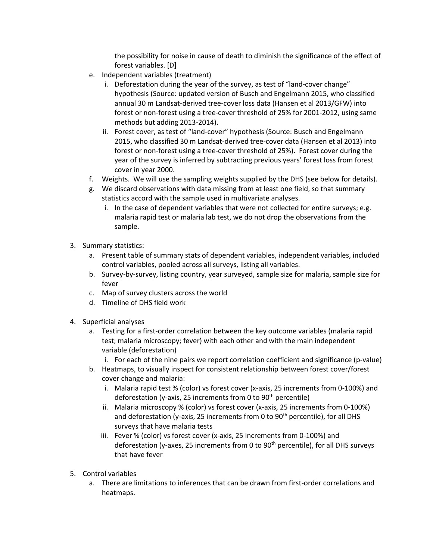the possibility for noise in cause of death to diminish the significance of the effect of forest variables. [D]

- e. Independent variables (treatment)
	- i. Deforestation during the year of the survey, as test of "land-cover change" hypothesis (Source: updated version of Busch and Engelmann 2015, who classified annual 30 m Landsat-derived tree-cover loss data (Hansen et al 2013/GFW) into forest or non-forest using a tree-cover threshold of 25% for 2001-2012, using same methods but adding 2013-2014).
	- ii. Forest cover, as test of "land-cover" hypothesis (Source: Busch and Engelmann 2015, who classified 30 m Landsat-derived tree-cover data (Hansen et al 2013) into forest or non-forest using a tree-cover threshold of 25%). Forest cover during the year of the survey is inferred by subtracting previous years' forest loss from forest cover in year 2000.
- f. Weights. We will use the sampling weights supplied by the DHS (see below for details).
- g. We discard observations with data missing from at least one field, so that summary statistics accord with the sample used in multivariate analyses.
	- i. In the case of dependent variables that were not collected for entire surveys; e.g. malaria rapid test or malaria lab test, we do not drop the observations from the sample.
- 3. Summary statistics:
	- a. Present table of summary stats of dependent variables, independent variables, included control variables, pooled across all surveys, listing all variables.
	- b. Survey-by-survey, listing country, year surveyed, sample size for malaria, sample size for fever
	- c. Map of survey clusters across the world
	- d. Timeline of DHS field work
- 4. Superficial analyses
	- a. Testing for a first-order correlation between the key outcome variables (malaria rapid test; malaria microscopy; fever) with each other and with the main independent variable (deforestation)
		- i. For each of the nine pairs we report correlation coefficient and significance (p-value)
	- b. Heatmaps, to visually inspect for consistent relationship between forest cover/forest cover change and malaria:
		- i. Malaria rapid test % (color) vs forest cover (x-axis, 25 increments from 0-100%) and deforestation (y-axis, 25 increments from 0 to  $90<sup>th</sup>$  percentile)
		- ii. Malaria microscopy % (color) vs forest cover (x-axis, 25 increments from 0-100%) and deforestation (y-axis, 25 increments from 0 to  $90<sup>th</sup>$  percentile), for all DHS surveys that have malaria tests
		- iii. Fever % (color) vs forest cover (x-axis, 25 increments from 0-100%) and deforestation (y-axes, 25 increments from 0 to  $90<sup>th</sup>$  percentile), for all DHS surveys that have fever
- 5. Control variables
	- a. There are limitations to inferences that can be drawn from first-order correlations and heatmaps.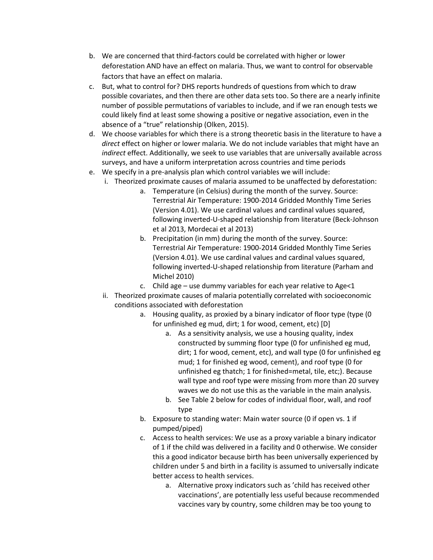- b. We are concerned that third-factors could be correlated with higher or lower deforestation AND have an effect on malaria. Thus, we want to control for observable factors that have an effect on malaria.
- c. But, what to control for? DHS reports hundreds of questions from which to draw possible covariates, and then there are other data sets too. So there are a nearly infinite number of possible permutations of variables to include, and if we ran enough tests we could likely find at least some showing a positive or negative association, even in the absence of a "true" relationship (Olken, 2015).
- d. We choose variables for which there is a strong theoretic basis in the literature to have a *direct* effect on higher or lower malaria. We do not include variables that might have an *indirect* effect. Additionally, we seek to use variables that are universally available across surveys, and have a uniform interpretation across countries and time periods
- e. We specify in a pre-analysis plan which control variables we will include:
	- i. Theorized proximate causes of malaria assumed to be unaffected by deforestation:
		- a. Temperature (in Celsius) during the month of the survey. Source: Terrestrial Air Temperature: 1900-2014 Gridded Monthly Time Series (Version 4.01). We use cardinal values and cardinal values squared, following inverted-U-shaped relationship from literature (Beck-Johnson et al 2013, Mordecai et al 2013)
		- b. Precipitation (in mm) during the month of the survey. Source: Terrestrial Air Temperature: 1900-2014 Gridded Monthly Time Series (Version 4.01). We use cardinal values and cardinal values squared, following inverted-U-shaped relationship from literature (Parham and Michel 2010)
		- c. Child age use dummy variables for each year relative to Age<1
	- ii. Theorized proximate causes of malaria potentially correlated with socioeconomic conditions associated with deforestation
		- a. Housing quality, as proxied by a binary indicator of floor type (type (0 for unfinished eg mud, dirt; 1 for wood, cement, etc) [D]
			- a. As a sensitivity analysis, we use a housing quality, index constructed by summing floor type (0 for unfinished eg mud, dirt; 1 for wood, cement, etc), and wall type (0 for unfinished eg mud; 1 for finished eg wood, cement), and roof type (0 for unfinished eg thatch; 1 for finished=metal, tile, etc;). Because wall type and roof type were missing from more than 20 survey waves we do not use this as the variable in the main analysis.
			- b. See Table 2 below for codes of individual floor, wall, and roof type
		- b. Exposure to standing water: Main water source (0 if open vs. 1 if pumped/piped)
		- c. Access to health services: We use as a proxy variable a binary indicator of 1 if the child was delivered in a facility and 0 otherwise. We consider this a good indicator because birth has been universally experienced by children under 5 and birth in a facility is assumed to universally indicate better access to health services.
			- a. Alternative proxy indicators such as 'child has received other vaccinations', are potentially less useful because recommended vaccines vary by country, some children may be too young to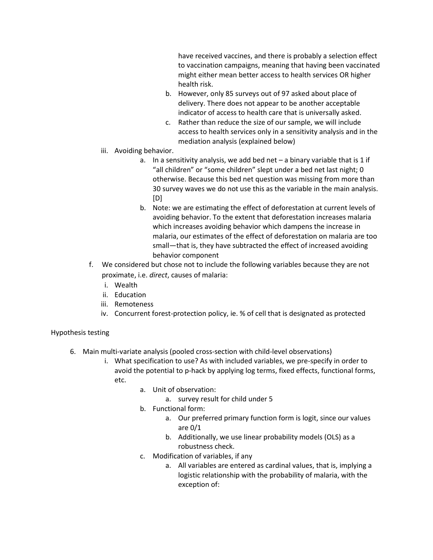have received vaccines, and there is probably a selection effect to vaccination campaigns, meaning that having been vaccinated might either mean better access to health services OR higher health risk.

- b. However, only 85 surveys out of 97 asked about place of delivery. There does not appear to be another acceptable indicator of access to health care that is universally asked.
- c. Rather than reduce the size of our sample, we will include access to health services only in a sensitivity analysis and in the mediation analysis (explained below)
- iii. Avoiding behavior.
	- a. In a sensitivity analysis, we add bed net  $-$  a binary variable that is 1 if "all children" or "some children" slept under a bed net last night; 0 otherwise. Because this bed net question was missing from more than 30 survey waves we do not use this as the variable in the main analysis. [D]
	- b. Note: we are estimating the effect of deforestation at current levels of avoiding behavior. To the extent that deforestation increases malaria which increases avoiding behavior which dampens the increase in malaria, our estimates of the effect of deforestation on malaria are too small—that is, they have subtracted the effect of increased avoiding behavior component
- f. We considered but chose not to include the following variables because they are not proximate, i.e. *direct*, causes of malaria:
	- i. Wealth
	- ii. Education
	- iii. Remoteness
	- iv. Concurrent forest-protection policy, ie. % of cell that is designated as protected

### Hypothesis testing

- 6. Main multi-variate analysis (pooled cross-section with child-level observations)
	- i. What specification to use? As with included variables, we pre-specify in order to avoid the potential to p-hack by applying log terms, fixed effects, functional forms, etc.
		- a. Unit of observation:
			- a. survey result for child under 5
		- b. Functional form:
			- a. Our preferred primary function form is logit, since our values are 0/1
			- b. Additionally, we use linear probability models (OLS) as a robustness check.
		- c. Modification of variables, if any
			- a. All variables are entered as cardinal values, that is, implying a logistic relationship with the probability of malaria, with the exception of: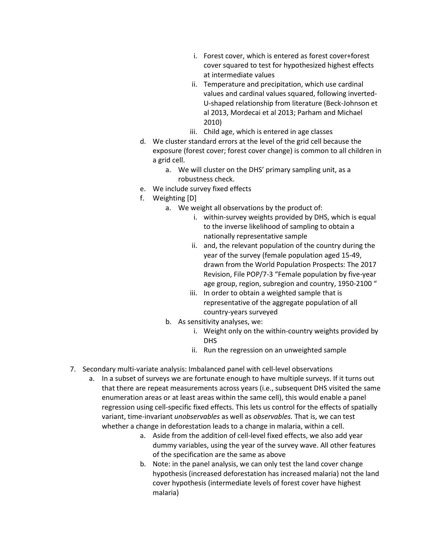- i. Forest cover, which is entered as forest cover+forest cover squared to test for hypothesized highest effects at intermediate values
- ii. Temperature and precipitation, which use cardinal values and cardinal values squared, following inverted-U-shaped relationship from literature (Beck-Johnson et al 2013, Mordecai et al 2013; Parham and Michael 2010)
- iii. Child age, which is entered in age classes
- d. We cluster standard errors at the level of the grid cell because the exposure (forest cover; forest cover change) is common to all children in a grid cell.
	- a. We will cluster on the DHS' primary sampling unit, as a robustness check.
- e. We include survey fixed effects
- f. Weighting [D]
	- a. We weight all observations by the product of:
		- i. within-survey weights provided by DHS, which is equal to the inverse likelihood of sampling to obtain a nationally representative sample
		- ii. and, the relevant population of the country during the year of the survey (female population aged 15-49, drawn from the World Population Prospects: The 2017 Revision, File POP/7-3 "Female population by five-year age group, region, subregion and country, 1950-2100 "
		- iii. In order to obtain a weighted sample that is representative of the aggregate population of all country-years surveyed
	- b. As sensitivity analyses, we:
		- i. Weight only on the within-country weights provided by DHS
		- ii. Run the regression on an unweighted sample
- 7. Secondary multi-variate analysis: Imbalanced panel with cell-level observations
	- a. In a subset of surveys we are fortunate enough to have multiple surveys. If it turns out that there are repeat measurements across years (i.e., subsequent DHS visited the same enumeration areas or at least areas within the same cell), this would enable a panel regression using cell-specific fixed effects. This lets us control for the effects of spatially variant, time-invariant *unobservables* as well as *observables.* That is, we can test whether a change in deforestation leads to a change in malaria, within a cell.
		- a. Aside from the addition of cell-level fixed effects, we also add year dummy variables, using the year of the survey wave. All other features of the specification are the same as above
		- b. Note: in the panel analysis, we can only test the land cover change hypothesis (increased deforestation has increased malaria) not the land cover hypothesis (intermediate levels of forest cover have highest malaria)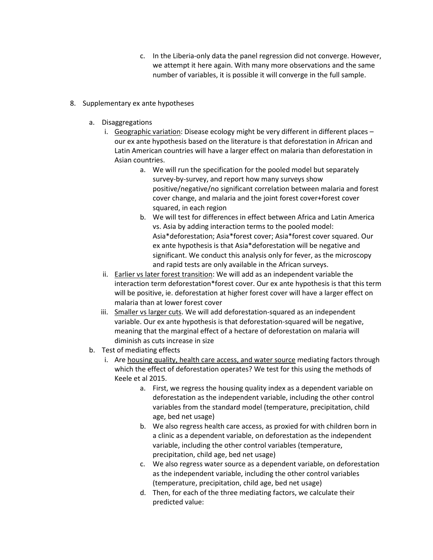- c. In the Liberia-only data the panel regression did not converge. However, we attempt it here again. With many more observations and the same number of variables, it is possible it will converge in the full sample.
- 8. Supplementary ex ante hypotheses
	- a. Disaggregations
		- i. Geographic variation: Disease ecology might be very different in different places our ex ante hypothesis based on the literature is that deforestation in African and Latin American countries will have a larger effect on malaria than deforestation in Asian countries.
			- a. We will run the specification for the pooled model but separately survey-by-survey, and report how many surveys show positive/negative/no significant correlation between malaria and forest cover change, and malaria and the joint forest cover+forest cover squared, in each region
			- b. We will test for differences in effect between Africa and Latin America vs. Asia by adding interaction terms to the pooled model: Asia\*deforestation; Asia\*forest cover; Asia\*forest cover squared. Our ex ante hypothesis is that Asia\*deforestation will be negative and significant. We conduct this analysis only for fever, as the microscopy and rapid tests are only available in the African surveys.
		- ii. Earlier vs later forest transition: We will add as an independent variable the interaction term deforestation\*forest cover. Our ex ante hypothesis is that this term will be positive, ie. deforestation at higher forest cover will have a larger effect on malaria than at lower forest cover
		- iii. Smaller vs larger cuts. We will add deforestation-squared as an independent variable. Our ex ante hypothesis is that deforestation-squared will be negative, meaning that the marginal effect of a hectare of deforestation on malaria will diminish as cuts increase in size
	- b. Test of mediating effects
		- i. Are housing quality, health care access, and water source mediating factors through which the effect of deforestation operates? We test for this using the methods of Keele et al 2015.
			- a. First, we regress the housing quality index as a dependent variable on deforestation as the independent variable, including the other control variables from the standard model (temperature, precipitation, child age, bed net usage)
			- b. We also regress health care access, as proxied for with children born in a clinic as a dependent variable, on deforestation as the independent variable, including the other control variables (temperature, precipitation, child age, bed net usage)
			- c. We also regress water source as a dependent variable, on deforestation as the independent variable, including the other control variables (temperature, precipitation, child age, bed net usage)
			- d. Then, for each of the three mediating factors, we calculate their predicted value: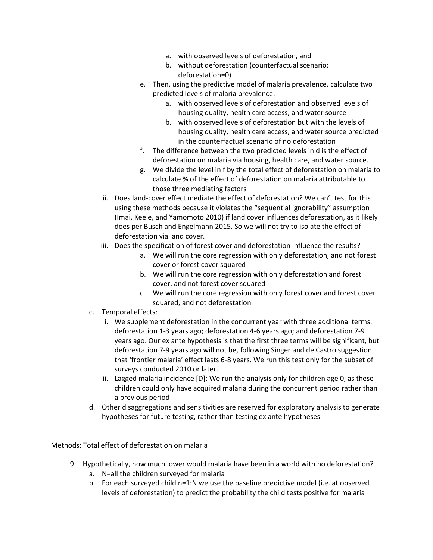- a. with observed levels of deforestation, and
- b. without deforestation (counterfactual scenario: deforestation=0)
- e. Then, using the predictive model of malaria prevalence, calculate two predicted levels of malaria prevalence:
	- a. with observed levels of deforestation and observed levels of housing quality, health care access, and water source
	- b. with observed levels of deforestation but with the levels of housing quality, health care access, and water source predicted in the counterfactual scenario of no deforestation
- f. The difference between the two predicted levels in d is the effect of deforestation on malaria via housing, health care, and water source.
- g. We divide the level in f by the total effect of deforestation on malaria to calculate % of the effect of deforestation on malaria attributable to those three mediating factors
- ii. Does land-cover effect mediate the effect of deforestation? We can't test for this using these methods because it violates the "sequential ignorability" assumption (Imai, Keele, and Yamomoto 2010) if land cover influences deforestation, as it likely does per Busch and Engelmann 2015. So we will not try to isolate the effect of deforestation via land cover.
- iii. Does the specification of forest cover and deforestation influence the results?
	- a. We will run the core regression with only deforestation, and not forest cover or forest cover squared
	- b. We will run the core regression with only deforestation and forest cover, and not forest cover squared
	- c. We will run the core regression with only forest cover and forest cover squared, and not deforestation
- c. Temporal effects:
	- i. We supplement deforestation in the concurrent year with three additional terms: deforestation 1-3 years ago; deforestation 4-6 years ago; and deforestation 7-9 years ago. Our ex ante hypothesis is that the first three terms will be significant, but deforestation 7-9 years ago will not be, following Singer and de Castro suggestion that 'frontier malaria' effect lasts 6-8 years. We run this test only for the subset of surveys conducted 2010 or later.
	- ii. Lagged malaria incidence [D]: We run the analysis only for children age 0, as these children could only have acquired malaria during the concurrent period rather than a previous period
- d. Other disaggregations and sensitivities are reserved for exploratory analysis to generate hypotheses for future testing, rather than testing ex ante hypotheses

Methods: Total effect of deforestation on malaria

- 9. Hypothetically, how much lower would malaria have been in a world with no deforestation?
	- a. N=all the children surveyed for malaria
	- b. For each surveyed child n=1:N we use the baseline predictive model (i.e. at observed levels of deforestation) to predict the probability the child tests positive for malaria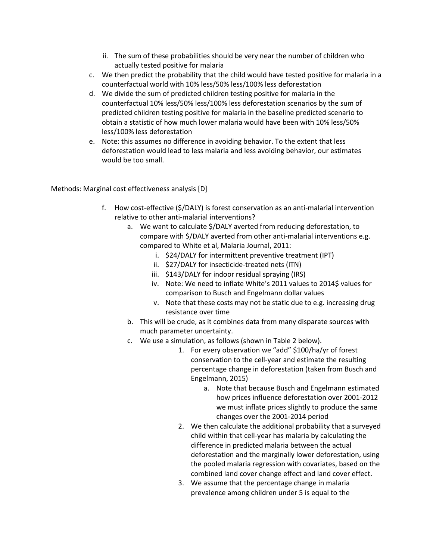- ii. The sum of these probabilities should be very near the number of children who actually tested positive for malaria
- c. We then predict the probability that the child would have tested positive for malaria in a counterfactual world with 10% less/50% less/100% less deforestation
- d. We divide the sum of predicted children testing positive for malaria in the counterfactual 10% less/50% less/100% less deforestation scenarios by the sum of predicted children testing positive for malaria in the baseline predicted scenario to obtain a statistic of how much lower malaria would have been with 10% less/50% less/100% less deforestation
- e. Note: this assumes no difference in avoiding behavior. To the extent that less deforestation would lead to less malaria and less avoiding behavior, our estimates would be too small.

Methods: Marginal cost effectiveness analysis [D]

- f. How cost-effective (\$/DALY) is forest conservation as an anti-malarial intervention relative to other anti-malarial interventions?
	- a. We want to calculate \$/DALY averted from reducing deforestation, to compare with \$/DALY averted from other anti-malarial interventions e.g. compared to White et al, Malaria Journal, 2011:
		- i. \$24/DALY for intermittent preventive treatment (IPT)
		- ii. \$27/DALY for insecticide-treated nets (ITN)
		- iii. \$143/DALY for indoor residual spraying (IRS)
		- iv. Note: We need to inflate White's 2011 values to 2014\$ values for comparison to Busch and Engelmann dollar values
		- v. Note that these costs may not be static due to e.g. increasing drug resistance over time
	- b. This will be crude, as it combines data from many disparate sources with much parameter uncertainty.
	- c. We use a simulation, as follows (shown in Table 2 below).
		- 1. For every observation we "add" \$100/ha/yr of forest conservation to the cell-year and estimate the resulting percentage change in deforestation (taken from Busch and Engelmann, 2015)
			- a. Note that because Busch and Engelmann estimated how prices influence deforestation over 2001-2012 we must inflate prices slightly to produce the same changes over the 2001-2014 period
		- 2. We then calculate the additional probability that a surveyed child within that cell-year has malaria by calculating the difference in predicted malaria between the actual deforestation and the marginally lower deforestation, using the pooled malaria regression with covariates, based on the combined land cover change effect and land cover effect.
		- 3. We assume that the percentage change in malaria prevalence among children under 5 is equal to the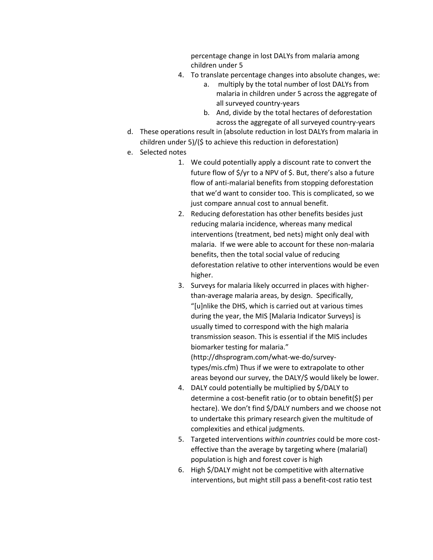percentage change in lost DALYs from malaria among children under 5

- 4. To translate percentage changes into absolute changes, we:
	- a. multiply by the total number of lost DALYs from malaria in children under 5 across the aggregate of all surveyed country-years
	- b. And, divide by the total hectares of deforestation across the aggregate of all surveyed country-years
- d. These operations result in (absolute reduction in lost DALYs from malaria in children under 5)/(\$ to achieve this reduction in deforestation)
- e. Selected notes
	- 1. We could potentially apply a discount rate to convert the future flow of \$/yr to a NPV of \$. But, there's also a future flow of anti-malarial benefits from stopping deforestation that we'd want to consider too. This is complicated, so we just compare annual cost to annual benefit.
	- 2. Reducing deforestation has other benefits besides just reducing malaria incidence, whereas many medical interventions (treatment, bed nets) might only deal with malaria. If we were able to account for these non-malaria benefits, then the total social value of reducing deforestation relative to other interventions would be even higher.
	- 3. Surveys for malaria likely occurred in places with higherthan-average malaria areas, by design. Specifically, "[u]nlike the DHS, which is carried out at various times during the year, the MIS [Malaria Indicator Surveys] is usually timed to correspond with the high malaria transmission season. This is essential if the MIS includes biomarker testing for malaria." (http://dhsprogram.com/what-we-do/surveytypes/mis.cfm) Thus if we were to extrapolate to other areas beyond our survey, the DALY/\$ would likely be lower.
	- 4. DALY could potentially be multiplied by \$/DALY to determine a cost-benefit ratio (or to obtain benefit(\$) per hectare). We don't find \$/DALY numbers and we choose not to undertake this primary research given the multitude of complexities and ethical judgments.
	- 5. Targeted interventions *within countries* could be more costeffective than the average by targeting where (malarial) population is high and forest cover is high
	- 6. High \$/DALY might not be competitive with alternative interventions, but might still pass a benefit-cost ratio test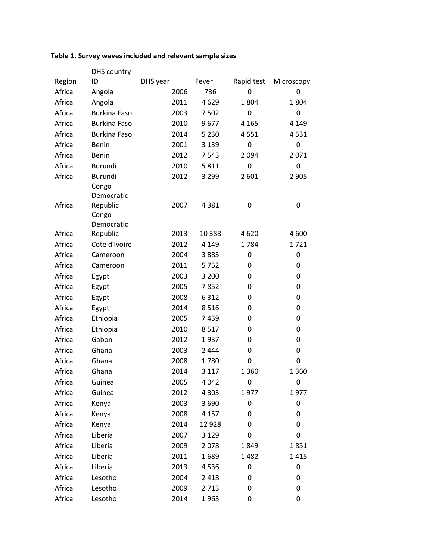# **Table 1. Survey waves included and relevant sample sizes**

|        | <b>DHS</b> country     |          |          |            |            |
|--------|------------------------|----------|----------|------------|------------|
| Region | ID                     | DHS year | Fever    | Rapid test | Microscopy |
| Africa | Angola                 | 2006     | 736      | 0          | 0          |
| Africa | Angola                 | 2011     | 4629     | 1804       | 1804       |
| Africa | <b>Burkina Faso</b>    | 2003     | 7502     | 0          | 0          |
| Africa | <b>Burkina Faso</b>    | 2010     | 9677     | 4 1 6 5    | 4 1 4 9    |
| Africa | <b>Burkina Faso</b>    | 2014     | 5 2 3 0  | 4551       | 4531       |
| Africa | Benin                  | 2001     | 3 1 3 9  | 0          | 0          |
| Africa | Benin                  | 2012     | 7543     | 2 0 9 4    | 2071       |
| Africa | <b>Burundi</b>         | 2010     | 5811     | 0          | 0          |
| Africa | Burundi                | 2012     | 3 2 9 9  | 2 601      | 2 9 0 5    |
|        | Congo                  |          |          |            |            |
|        | Democratic             |          |          |            |            |
| Africa | Republic               | 2007     | 4 3 8 1  | 0          | 0          |
|        | Congo                  |          |          |            |            |
| Africa | Democratic<br>Republic | 2013     | 10 3 8 8 | 4620       | 4 600      |
| Africa | Cote d'Ivoire          | 2012     | 4 1 4 9  | 1784       | 1721       |
| Africa |                        | 2004     | 3885     | 0          | 0          |
| Africa | Cameroon               | 2011     |          |            |            |
|        | Cameroon               |          | 5752     | 0          | 0          |
| Africa | Egypt                  | 2003     | 3 2 0 0  | 0          | 0          |
| Africa | Egypt                  | 2005     | 7852     | 0          | 0          |
| Africa | Egypt                  | 2008     | 6 3 1 2  | 0          | 0          |
| Africa | Egypt                  | 2014     | 8516     | 0          | 0          |
| Africa | Ethiopia               | 2005     | 7439     | 0          | 0          |
| Africa | Ethiopia               | 2010     | 8517     | 0          | 0          |
| Africa | Gabon                  | 2012     | 1937     | 0          | 0          |
| Africa | Ghana                  | 2003     | 2 4 4 4  | 0          | 0          |
| Africa | Ghana                  | 2008     | 1780     | 0          | 0          |
| Africa | Ghana                  | 2014     | 3 1 1 7  | 1 3 6 0    | 1 3 6 0    |
| Africa | Guinea                 | 2005     | 4 0 4 2  | 0          | 0          |
| Africa | Guinea                 | 2012     | 4 3 0 3  | 1977       | 1977       |
| Africa | Kenya                  | 2003     | 3690     | 0          | 0          |
| Africa | Kenya                  | 2008     | 4 1 5 7  | 0          | 0          |
| Africa | Kenya                  | 2014     | 12928    | 0          | 0          |
| Africa | Liberia                | 2007     | 3 1 2 9  | 0          | 0          |
| Africa | Liberia                | 2009     | 2078     | 1849       | 1851       |
| Africa | Liberia                | 2011     | 1689     | 1482       | 1415       |
| Africa | Liberia                | 2013     | 4536     | 0          | 0          |
| Africa | Lesotho                | 2004     | 2 4 1 8  | 0          | 0          |
| Africa | Lesotho                | 2009     | 2 7 1 3  | 0          | 0          |
| Africa | Lesotho                | 2014     | 1963     | 0          | 0          |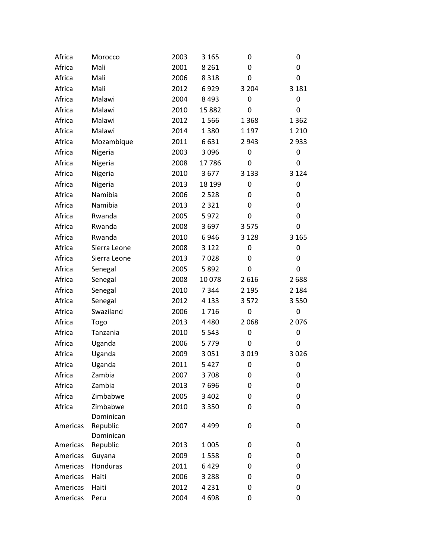| Africa   | Morocco      | 2003 | 3 1 6 5 | 0       | 0       |
|----------|--------------|------|---------|---------|---------|
| Africa   | Mali         | 2001 | 8 2 6 1 | 0       | 0       |
| Africa   | Mali         | 2006 | 8 3 1 8 | 0       | 0       |
| Africa   | Mali         | 2012 | 6929    | 3 2 0 4 | 3 1 8 1 |
| Africa   | Malawi       | 2004 | 8 4 9 3 | 0       | 0       |
| Africa   | Malawi       | 2010 | 15882   | 0       | 0       |
| Africa   | Malawi       | 2012 | 1566    | 1 3 6 8 | 1 3 6 2 |
| Africa   | Malawi       | 2014 | 1380    | 1 1 9 7 | 1 2 1 0 |
| Africa   | Mozambique   | 2011 | 6631    | 2 9 4 3 | 2933    |
| Africa   | Nigeria      | 2003 | 3 0 9 6 | 0       | 0       |
| Africa   | Nigeria      | 2008 | 17786   | 0       | 0       |
| Africa   | Nigeria      | 2010 | 3677    | 3 1 3 3 | 3 1 2 4 |
| Africa   | Nigeria      | 2013 | 18 199  | 0       | 0       |
| Africa   | Namibia      | 2006 | 2 5 2 8 | 0       | 0       |
| Africa   | Namibia      | 2013 | 2 3 2 1 | 0       | 0       |
| Africa   | Rwanda       | 2005 | 5972    | 0       | 0       |
| Africa   | Rwanda       | 2008 | 3697    | 3 5 7 5 | 0       |
| Africa   | Rwanda       | 2010 | 6946    | 3 1 2 8 | 3 1 6 5 |
| Africa   | Sierra Leone | 2008 | 3 1 2 2 | 0       | 0       |
| Africa   | Sierra Leone | 2013 | 7028    | 0       | 0       |
| Africa   | Senegal      | 2005 | 5892    | 0       | 0       |
| Africa   | Senegal      | 2008 | 10078   | 2 6 1 6 | 2688    |
| Africa   | Senegal      | 2010 | 7 3 4 4 | 2 1 9 5 | 2 1 8 4 |
| Africa   | Senegal      | 2012 | 4 1 3 3 | 3572    | 3 5 5 0 |
| Africa   | Swaziland    | 2006 | 1716    | 0       | 0       |
| Africa   | Togo         | 2013 | 4 4 8 0 | 2 0 6 8 | 2076    |
| Africa   | Tanzania     | 2010 | 5 5 4 3 | 0       | 0       |
| Africa   | Uganda       | 2006 | 5779    | 0       | 0       |
| Africa   | Uganda       | 2009 | 3 0 5 1 | 3 0 1 9 | 3026    |
| Africa   | Uganda       | 2011 | 5 4 2 7 | 0       | 0       |
| Africa   | Zambia       | 2007 | 3708    | 0       | 0       |
| Africa   | Zambia       | 2013 | 7696    | 0       | 0       |
| Africa   | Zimbabwe     | 2005 | 3 4 0 2 | 0       | 0       |
| Africa   | Zimbabwe     | 2010 | 3 3 5 0 | 0       | 0       |
|          | Dominican    |      |         |         |         |
| Americas | Republic     | 2007 | 4 4 9 9 | 0       | 0       |
|          | Dominican    |      |         |         |         |
| Americas | Republic     | 2013 | 1 0 0 5 | 0       | 0       |
| Americas | Guyana       | 2009 | 1558    | 0       | 0       |
| Americas | Honduras     | 2011 | 6429    | 0       | 0       |
| Americas | Haiti        | 2006 | 3 2 8 8 | 0       | 0       |
| Americas | Haiti        | 2012 | 4 2 3 1 | 0       | 0       |
| Americas | Peru         | 2004 | 4698    | 0       | 0       |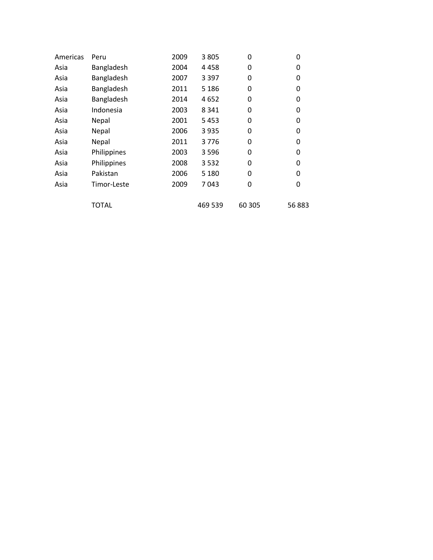| Americas | Peru         | 2009 | 3 8 0 5 | 0      | 0     |
|----------|--------------|------|---------|--------|-------|
| Asia     | Bangladesh   | 2004 | 4458    | 0      | 0     |
| Asia     | Bangladesh   | 2007 | 3 3 9 7 | 0      | 0     |
| Asia     | Bangladesh   | 2011 | 5 1 8 6 | 0      | 0     |
| Asia     | Bangladesh   | 2014 | 4652    | 0      | 0     |
| Asia     | Indonesia    | 2003 | 8 3 4 1 | 0      | 0     |
| Asia     | Nepal        | 2001 | 5453    | 0      | 0     |
| Asia     | Nepal        | 2006 | 3 9 3 5 | 0      | 0     |
| Asia     | Nepal        | 2011 | 3776    | 0      | 0     |
| Asia     | Philippines  | 2003 | 3 5 9 6 | 0      | 0     |
| Asia     | Philippines  | 2008 | 3532    | 0      | 0     |
| Asia     | Pakistan     | 2006 | 5 1 8 0 | 0      | 0     |
| Asia     | Timor-Leste  | 2009 | 7043    | 0      | 0     |
|          |              |      |         |        |       |
|          | <b>TOTAL</b> |      | 469 539 | 60 305 | 56883 |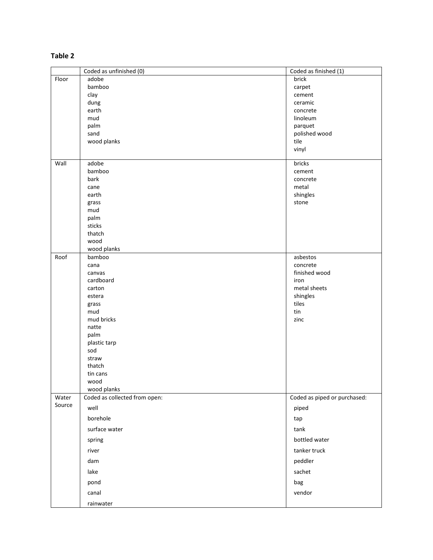## **Table 2**

|                 | Coded as unfinished (0)       | Coded as finished (1)        |
|-----------------|-------------------------------|------------------------------|
| Floor           | adobe                         | brick                        |
|                 | bamboo                        | carpet                       |
|                 | clay                          | cement                       |
|                 | dung                          | ceramic                      |
|                 | earth                         | concrete                     |
|                 | mud                           | linoleum                     |
|                 | palm                          | parquet                      |
|                 | sand                          | polished wood                |
|                 | wood planks                   | tile                         |
|                 |                               | vinyl                        |
| Wall            | adobe                         | bricks                       |
|                 | bamboo                        | cement                       |
|                 | bark                          | concrete                     |
|                 | cane                          | metal                        |
|                 | earth                         | shingles                     |
|                 | grass                         | stone                        |
|                 | mud                           |                              |
|                 | palm                          |                              |
|                 | sticks                        |                              |
|                 | thatch                        |                              |
|                 | wood                          |                              |
|                 | wood planks                   |                              |
| Roof            | bamboo                        | asbestos                     |
|                 | cana<br>canvas                | concrete<br>finished wood    |
|                 | cardboard                     | iron                         |
|                 | carton                        | metal sheets                 |
|                 | estera                        | shingles                     |
|                 | grass                         | tiles                        |
|                 | mud                           | tin                          |
|                 | mud bricks                    | zinc                         |
|                 | natte                         |                              |
|                 | palm                          |                              |
|                 | plastic tarp                  |                              |
|                 | sod                           |                              |
|                 | straw                         |                              |
|                 | thatch                        |                              |
|                 | tin cans                      |                              |
|                 | wood                          |                              |
|                 | wood planks                   |                              |
| Water<br>Source | Coded as collected from open: | Coded as piped or purchased: |
|                 | well                          | piped                        |
|                 | borehole                      | tap                          |
|                 | surface water                 | tank                         |
|                 | spring                        | bottled water                |
|                 | river                         | tanker truck                 |
|                 | dam                           | peddler                      |
|                 | lake                          | sachet                       |
|                 | pond                          | bag                          |
|                 | canal                         | vendor                       |
|                 | rainwater                     |                              |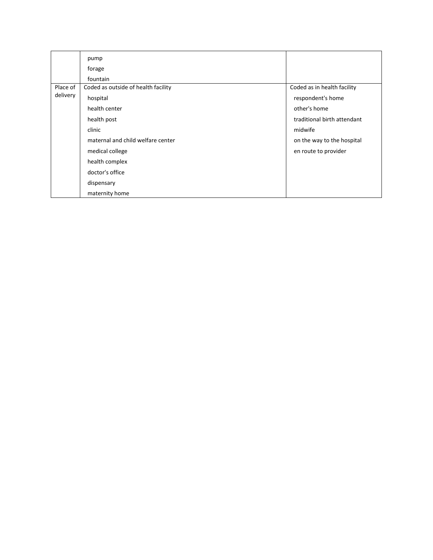|                      | pump                                |                             |
|----------------------|-------------------------------------|-----------------------------|
|                      | forage                              |                             |
|                      | fountain                            |                             |
| Place of<br>delivery | Coded as outside of health facility | Coded as in health facility |
|                      | hospital                            | respondent's home           |
|                      | health center                       | other's home                |
|                      | health post                         | traditional birth attendant |
|                      | clinic                              | midwife                     |
|                      | maternal and child welfare center   | on the way to the hospital  |
|                      | medical college                     | en route to provider        |
|                      | health complex                      |                             |
|                      | doctor's office                     |                             |
|                      | dispensary                          |                             |
|                      | maternity home                      |                             |